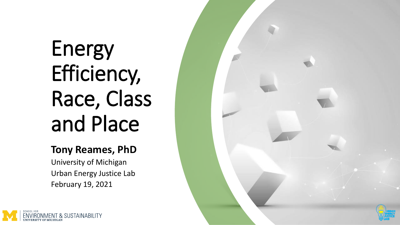# Energy Efficiency, Race, Class and Place

#### **Tony Reames, PhD**

University of Michigan Urban Energy Justice Lab February 19, 2021



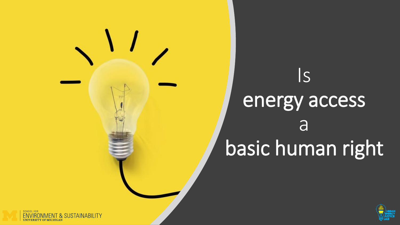# Is energy access **a** basic human right



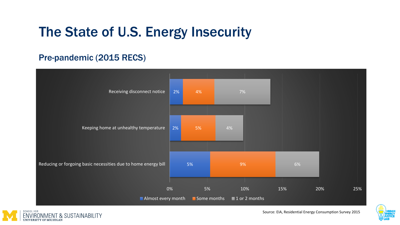### The State of U.S. Energy Insecurity

#### Pre-pandemic (2015 RECS)





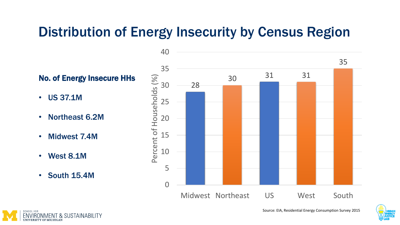### Distribution of Energy Insecurity by Census Region

No. of Energy Insecure HHs

- US 37.1M
- Northeast 6.2M
- Midwest 7.4M
- West 8.1M
- South 15.4M





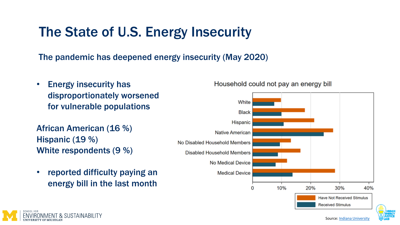### The State of U.S. Energy Insecurity

The pandemic has deepened energy insecurity (May 2020)

• Energy insecurity has disproportionately worsened for vulnerable populations

African American (16 %) Hispanic (19 %) White respondents (9 %)

**& SUSTAINABILITY** 

• reported difficulty paying an energy bill in the last month

Household could not pay an energy bill

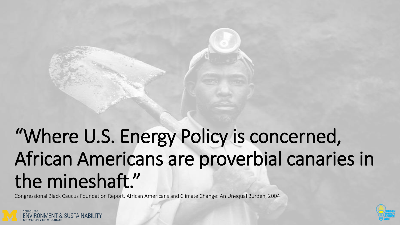## "Where U.S. Energy Policy is concerned, African Americans are proverbial canaries in the mineshaft."

Congressional Black Caucus Foundation Report, African Americans and Climate Change: An Unequal Burden, 2004



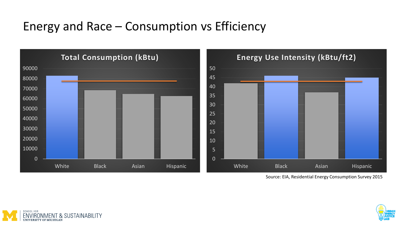#### Energy and Race – Consumption vs Efficiency



Source: EIA, Residential Energy Consumption Survey 2015



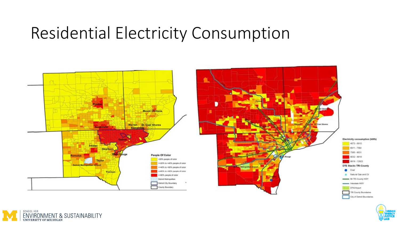### Residential Electricity Consumption





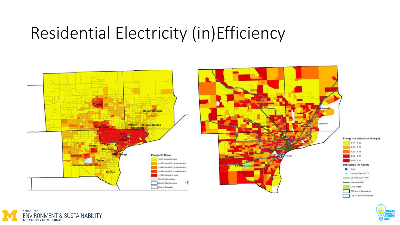### Residential Electricity (in)Efficiency





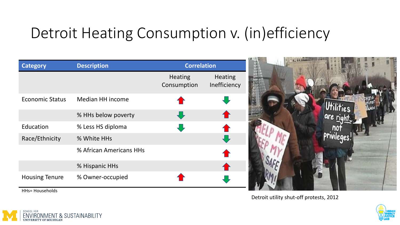### Detroit Heating Consumption v. (in)efficiency

| <b>Category</b>                          | <b>Description</b>      | <b>Correlation</b>            |                                |  |
|------------------------------------------|-------------------------|-------------------------------|--------------------------------|--|
|                                          |                         | <b>Heating</b><br>Consumption | <b>Heating</b><br>Inefficiency |  |
| <b>Economic Status</b>                   | Median HH income        |                               |                                |  |
|                                          | % HHs below poverty     |                               |                                |  |
| Education                                | % Less HS diploma       |                               |                                |  |
| Race/Ethnicity                           | % White HHs             |                               |                                |  |
|                                          | % African Americans HHs |                               |                                |  |
|                                          | % Hispanic HHs          |                               |                                |  |
| <b>Housing Tenure</b><br>HHs= Households | % Owner-occupied        |                               |                                |  |

Detroit utility shut-off protests, 2012



SCHOOL FOR & SUSTAINABILITY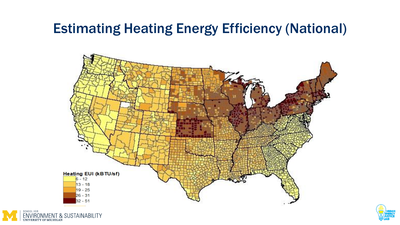### Estimating Heating Energy Efficiency (National)





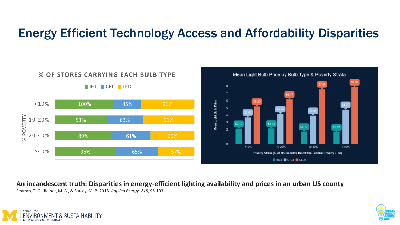#### Energy Efficient Technology Access and Affordability Disparities



**An incandescent truth: Disparities in energy-efficient lighting availability and prices in an urban US county**

Reames, T. G., Reiner, M. A., & Stacey, M. B. 2018. *Applied Energy*, *218*, 95-103.



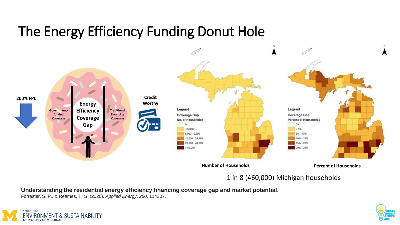### The Energy Efficiency Funding Donut Hole



1 in 8 (460,000) Michigan households

**Understanding the residential energy efficiency financing coverage gap and market potential.**

Forrester, S. P., & Reames, T. G. (2020). *Applied Energy*, *260*, 114307.



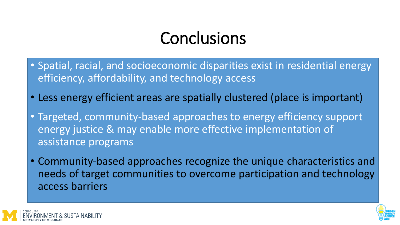### **Conclusions**

- Spatial, racial, and socioeconomic disparities exist in residential energy efficiency, affordability, and technology access
- Less energy efficient areas are spatially clustered (place is important)
- Targeted, community-based approaches to energy efficiency support energy justice & may enable more effective implementation of assistance programs
- Community-based approaches recognize the unique characteristics and needs of target communities to overcome participation and technology access barriers